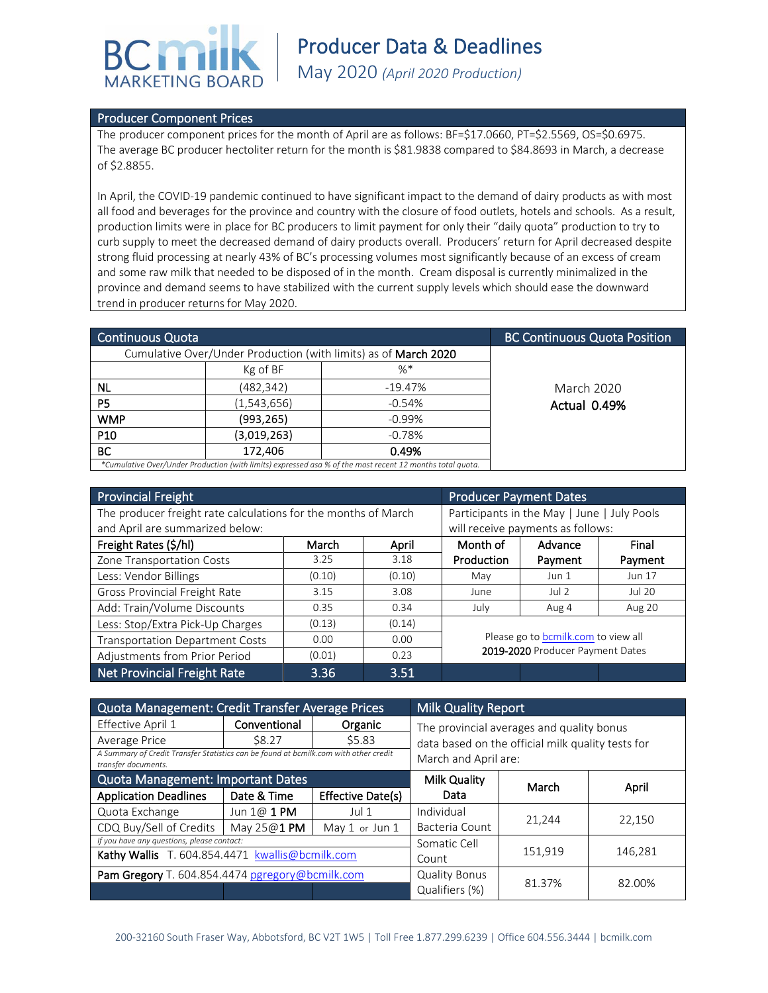

## Producer Component Prices

The producer component prices for the month of April are as follows: BF=\$17.0660, PT=\$2.5569, OS=\$0.6975. The average BC producer hectoliter return for the month is \$81.9838 compared to \$84.8693 in March, a decrease of \$2.8855.

In April, the COVID-19 pandemic continued to have significant impact to the demand of dairy products as with most all food and beverages for the province and country with the closure of food outlets, hotels and schools. As a result, production limits were in place for BC producers to limit payment for only their "daily quota" production to try to curb supply to meet the decreased demand of dairy products overall. Producers' return for April decreased despite strong fluid processing at nearly 43% of BC's processing volumes most significantly because of an excess of cream and some raw milk that needed to be disposed of in the month. Cream disposal is currently minimalized in the province and demand seems to have stabilized with the current supply levels which should ease the downward trend in producer returns for May 2020.

| <b>Continuous Quota</b> |                                                                                                           | <b>BC Continuous Quota Position</b> |              |
|-------------------------|-----------------------------------------------------------------------------------------------------------|-------------------------------------|--------------|
|                         | Cumulative Over/Under Production (with limits) as of March 2020                                           |                                     |              |
|                         | Kg of BF                                                                                                  | $\% *$                              |              |
| <b>NL</b>               | (482, 342)                                                                                                | $-19.47%$                           | March 2020   |
| P <sub>5</sub>          | (1, 543, 656)                                                                                             | $-0.54%$                            | Actual 0.49% |
| <b>WMP</b>              | (993,265)                                                                                                 | $-0.99\%$                           |              |
| P <sub>10</sub>         | (3,019,263)                                                                                               | $-0.78%$                            |              |
| <b>BC</b>               | 172.406                                                                                                   | 0.49%                               |              |
|                         | *Cumulative Over/Under Production (with limits) expressed asa % of the most recent 12 months total quota. |                                     |              |

| <b>Provincial Freight</b>                                      | <b>Producer Payment Dates</b>               |        |                                     |         |               |
|----------------------------------------------------------------|---------------------------------------------|--------|-------------------------------------|---------|---------------|
| The producer freight rate calculations for the months of March | Participants in the May   June   July Pools |        |                                     |         |               |
| and April are summarized below:                                | will receive payments as follows:           |        |                                     |         |               |
| Freight Rates (\$/hl)                                          | March                                       | April  | Month of                            | Advance | Final         |
| Zone Transportation Costs                                      | 3.25                                        | 3.18   | Production                          | Payment | Payment       |
| Less: Vendor Billings                                          | (0.10)                                      | (0.10) | May                                 | Jun 1   | <b>Jun 17</b> |
| <b>Gross Provincial Freight Rate</b>                           | 3.15                                        | 3.08   | June                                | Jul 2   | Jul 20        |
| Add: Train/Volume Discounts                                    | 0.35                                        | 0.34   | July                                | Aug 4   | Aug 20        |
| Less: Stop/Extra Pick-Up Charges                               | (0.13)                                      | (0.14) |                                     |         |               |
| <b>Transportation Department Costs</b>                         | 0.00                                        | 0.00   | Please go to bcmilk.com to view all |         |               |
| Adjustments from Prior Period                                  | (0.01)                                      | 0.23   | 2019-2020 Producer Payment Dates    |         |               |
| <b>Net Provincial Freight Rate</b>                             | 3.36                                        | 3.51   |                                     |         |               |

| Quota Management: Credit Transfer Average Prices                                                            |                      |                   | <b>Milk Quality Report</b>                                                                     |        |         |  |
|-------------------------------------------------------------------------------------------------------------|----------------------|-------------------|------------------------------------------------------------------------------------------------|--------|---------|--|
| Effective April 1                                                                                           | Conventional         | Organic           | The provincial averages and quality bonus<br>data based on the official milk quality tests for |        |         |  |
| Average Price                                                                                               | <b>S8.27</b>         | \$5.83            |                                                                                                |        |         |  |
| A Summary of Credit Transfer Statistics can be found at bcmilk.com with other credit<br>transfer documents. | March and April are: |                   |                                                                                                |        |         |  |
| Quota Management: Important Dates                                                                           |                      |                   | Milk Quality                                                                                   | March  | April   |  |
| <b>Application Deadlines</b>                                                                                | Date & Time          | Effective Date(s) | Data                                                                                           |        |         |  |
| Quota Exchange                                                                                              | Jun $1@$ 1 PM        | Jul 1             | Individual                                                                                     |        |         |  |
| CDQ Buy/Sell of Credits                                                                                     | May 25@1 PM          | May 1 or Jun 1    | Bacteria Count                                                                                 | 21,244 | 22,150  |  |
| If you have any questions, please contact:                                                                  | Somatic Cell         |                   | 146,281                                                                                        |        |         |  |
| Kathy Wallis T. 604.854.4471 kwallis@bcmilk.com                                                             |                      |                   |                                                                                                | Count  | 151,919 |  |
| Pam Gregory T. 604.854.4474 pgregory@bcmilk.com                                                             |                      |                   | <b>Quality Bonus</b>                                                                           |        | 82.00%  |  |
|                                                                                                             |                      |                   | Qualifiers (%)                                                                                 | 81.37% |         |  |